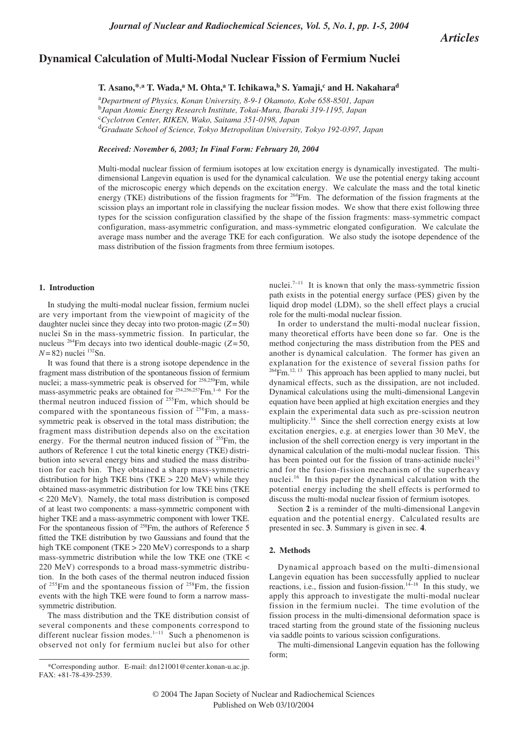*Articles*

# **Dynamical Calculation of Multi-Modal Nuclear Fission of Fermium Nuclei**

 $T. A$ sano,<sup>\*,a</sup>  $T. W$ ada,<sup>a</sup>  $M. O$ hta,<sup>a</sup>  $T. I$ chikawa,<sup>b</sup>  $S. Y$ amaji,<sup>c</sup> and  $H. N$ akahara<sup>d</sup>

a *Department of Physics, Konan University, 8-9-1 Okamoto, Kobe 658-8501, Japan*  b *Japan Atomic Energy Research Institute, Tokai-Mura, Ibaraki 319-1195, Japan* c *Cyclotron Center, RIKEN, Wako, Saitama 351-0198, Japan* d *Graduate School of Science, Tokyo Metropolitan University, Tokyo 192-0397, Japan*

*Received: November 6, 2003; In Final Form: February 20, 2004*

Multi-modal nuclear fission of fermium isotopes at low excitation energy is dynamically investigated. The multidimensional Langevin equation is used for the dynamical calculation. We use the potential energy taking account of the microscopic energy which depends on the excitation energy. We calculate the mass and the total kinetic energy (TKE) distributions of the fission fragments for <sup>264</sup>Fm. The deformation of the fission fragments at the scission plays an important role in classifying the nuclear fission modes. We show that there exist following three types for the scission configuration classified by the shape of the fission fragments: mass-symmetric compact configuration, mass-asymmetric configuration, and mass-symmetric elongated configuration. We calculate the average mass number and the average TKE for each configuration. We also study the isotope dependence of the mass distribution of the fission fragments from three fermium isotopes.

## **1. Introduction**

In studying the multi-modal nuclear fission, fermium nuclei are very important from the viewpoint of magicity of the daughter nuclei since they decay into two proton-magic  $(Z = 50)$ nuclei Sn in the mass-symmetric fission. In particular, the nucleus <sup>264</sup>Fm decays into two identical double-magic ( $Z = 50$ ,  $N=82$ ) nuclei  $^{132}Sn$ .

It was found that there is a strong isotope dependence in the fragment mass distribution of the spontaneous fission of fermium nuclei; a mass-symmetric peak is observed for 258,259Fm, while mass-asymmetric peaks are obtained for <sup>254,256,257</sup>Fm.<sup>1−6</sup> For the thermal neutron induced fission of <sup>255</sup>Fm, which should be compared with the spontaneous fission of  $256$ Fm, a masssymmetric peak is observed in the total mass distribution; the fragment mass distribution depends also on the excitation energy. For the thermal neutron induced fission of <sup>255</sup>Fm, the authors of Reference 1 cut the total kinetic energy (TKE) distribution into several energy bins and studied the mass distribution for each bin. They obtained a sharp mass-symmetric distribution for high TKE bins (TKE > 220 MeV) while they obtained mass-asymmetric distribution for low TKE bins (TKE < 220 MeV). Namely, the total mass distribution is composed of at least two components: a mass-symmetric component with higher TKE and a mass-asymmetric component with lower TKE. For the spontaneous fission of <sup>258</sup>Fm, the authors of Reference 5 fitted the TKE distribution by two Gaussians and found that the high TKE component (TKE > 220 MeV) corresponds to a sharp mass-symmetric distribution while the low TKE one (TKE < 220 MeV) corresponds to a broad mass-symmetric distribution. In the both cases of the thermal neutron induced fission of  $255$ Fm and the spontaneous fission of  $258$ Fm, the fission events with the high TKE were found to form a narrow masssymmetric distribution.

The mass distribution and the TKE distribution consist of several components and these components correspond to different nuclear fission modes.1<sup>−</sup><sup>11</sup> Such a phenomenon is observed not only for fermium nuclei but also for other

\*Corresponding author. E-mail: dn121001@center.konan-u.ac.jp. FAX: +81-78-439-2539.

nuclei.<sup>7−11</sup> It is known that only the mass-symmetric fission path exists in the potential energy surface (PES) given by the liquid drop model (LDM), so the shell effect plays a crucial role for the multi-modal nuclear fission.

In order to understand the multi-modal nuclear fission, many theoretical efforts have been done so far. One is the method conjecturing the mass distribution from the PES and another is dynamical calculation. The former has given an explanation for the existence of several fission paths for  $264$ Fm.<sup>12, 13</sup> This approach has been applied to many nuclei, but dynamical effects, such as the dissipation, are not included. Dynamical calculations using the multi-dimensional Langevin equation have been applied at high excitation energies and they explain the experimental data such as pre-scission neutron multiplicity.<sup>14</sup> Since the shell correction energy exists at low excitation energies, e.g. at energies lower than 30 MeV, the inclusion of the shell correction energy is very important in the dynamical calculation of the multi-modal nuclear fission. This has been pointed out for the fission of trans-actinide nuclei<sup>15</sup> and for the fusion-fission mechanism of the superheavy nuclei.<sup>16</sup> In this paper the dynamical calculation with the potential energy including the shell effects is performed to discuss the multi-modal nuclear fission of fermium isotopes.

Section **2** is a reminder of the multi-dimensional Langevin equation and the potential energy. Calculated results are presented in sec. **3**. Summary is given in sec. **4**.

## **2. Methods**

Dynamical approach based on the multi-dimensional Langevin equation has been successfully applied to nuclear reactions, i.e., fission and fusion-fission.<sup>14−18</sup> In this study, we apply this approach to investigate the multi-modal nuclear fission in the fermium nuclei. The time evolution of the fission process in the multi-dimensional deformation space is traced starting from the ground state of the fissioning nucleus via saddle points to various scission configurations.

The multi-dimensional Langevin equation has the following form;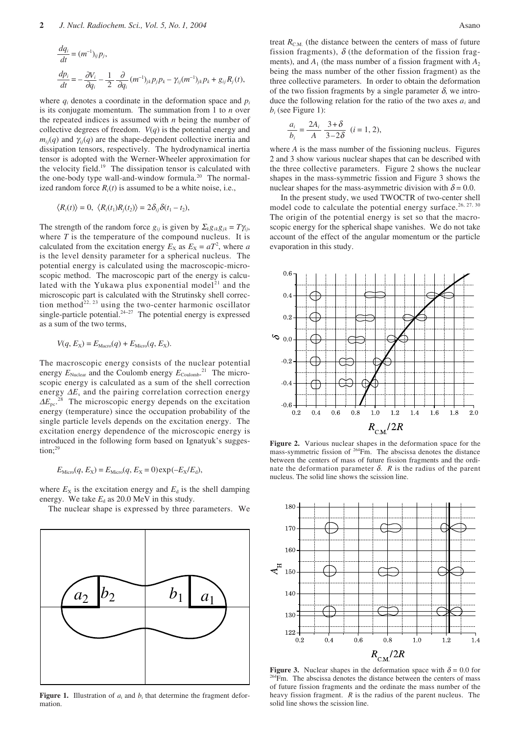$$
\begin{aligned}\n\frac{dq_i}{dt} &= (m^{-1})_{ij} p_j, \\
\frac{dp_i}{dt} &= -\frac{\partial V_i}{\partial q_i} - \frac{1}{2} \frac{\partial}{\partial q_i} (m^{-1})_{jk} p_j p_k - \gamma_{ij} (m^{-1})_{jk} p_k + g_{ij} R_j(t),\n\end{aligned}
$$

where  $q_i$  denotes a coordinate in the deformation space and  $p_i$ is its conjugate momentum. The summation from 1 to *n* over the repeated indices is assumed with *n* being the number of collective degrees of freedom. *V*(*q*) is the potential energy and  $m_{ij}(q)$  and  $\gamma_{ij}(q)$  are the shape-dependent collective inertia and dissipation tensors, respectively. The hydrodynamical inertia tensor is adopted with the Werner-Wheeler approximation for the velocity field.<sup>19</sup> The dissipation tensor is calculated with the one-body type wall-and-window formula.<sup>20</sup> The normalized random force  $R_i(t)$  is assumed to be a white noise, i.e.,

$$
\langle R_i(t) \rangle = 0, \ \langle R_i(t_1)R_j(t_2) \rangle = 2\delta_{ij}\delta(t_1 - t_2),
$$

The strength of the random force  $g_{ij}$  is given by  $\sum_k g_{ik}g_{jk} = T\gamma_{ij}$ , where  $T$  is the temperature of the compound nucleus. It is calculated from the excitation energy  $E_X$  as  $E_X = aT^2$ , where *a* is the level density parameter for a spherical nucleus. The potential energy is calculated using the macroscopic-microscopic method. The macroscopic part of the energy is calculated with the Yukawa plus exponential model<sup>21</sup> and the microscopic part is calculated with the Strutinsky shell correction method<sup>22, 23</sup> using the two-center harmonic oscillator single-particle potential.24<sup>−</sup><sup>27</sup> The potential energy is expressed as a sum of the two terms,

$$
V(q, E_X) = E_{\text{Macro}}(q) + E_{\text{Micro}}(q, E_X).
$$

The macroscopic energy consists of the nuclear potential energy  $E_{\text{Nuclear}}$  and the Coulomb energy  $E_{\text{Coulomb}}^{21}$ . The microscopic energy is calculated as a sum of the shell correction energy ∆*E*<sup>s</sup> and the pairing correlation correction energy  $\Delta E_{\text{pc}}$ <sup>2</sup>  $8<sup>8</sup>$  The microscopic energy depends on the excitation energy (temperature) since the occupation probability of the single particle levels depends on the excitation energy. The excitation energy dependence of the microscopic energy is introduced in the following form based on Ignatyuk's sugges $tion: <sup>29</sup>$ 

$$
E_{\text{Micro}}(q, E_{\text{X}}) = E_{\text{Micro}}(q, E_{\text{X}} = 0) \exp(-E_{\text{X}}/E_{\text{d}}),
$$

where  $E_X$  is the excitation energy and  $E_d$  is the shell damping energy. We take  $E_d$  as 20.0 MeV in this study.

The nuclear shape is expressed by three parameters. We



**Figure 1.** Illustration of  $a_i$  and  $b_i$  that determine the fragment deformation.

treat  $R_{\text{C.M.}}$  (the distance between the centers of mass of future fission fragments),  $\delta$  (the deformation of the fission fragments), and  $A_1$  (the mass number of a fission fragment with  $A_2$ being the mass number of the other fission fragment) as the three collective parameters. In order to obtain the deformation of the two fission fragments by a single parameter  $\delta$ , we introduce the following relation for the ratio of the two axes *ai* and *bi* (see Figure 1):

$$
\frac{a_i}{b_i} = \frac{2A_i}{A} \frac{3+\delta}{3-2\delta} \quad (i = 1, 2),
$$

where *A* is the mass number of the fissioning nucleus. Figures 2 and 3 show various nuclear shapes that can be described with the three collective parameters. Figure 2 shows the nuclear shapes in the mass-symmetric fission and Figure 3 shows the nuclear shapes for the mass-asymmetric division with  $\delta = 0.0$ .

In the present study, we used TWOCTR of two-center shell model code to calculate the potential energy surface.<sup>26, 27, 30</sup> The origin of the potential energy is set so that the macroscopic energy for the spherical shape vanishes. We do not take account of the effect of the angular momentum or the particle evaporation in this study.



**Figure 2.** Various nuclear shapes in the deformation space for the mass-symmetric fission of 264Fm. The abscissa denotes the distance between the centers of mass of future fission fragments and the ordinate the deformation parameter δ. *R* is the radius of the parent nucleus. The solid line shows the scission line.



**Figure 3.** Nuclear shapes in the deformation space with  $\delta = 0.0$  for  $264$ Fm. The abscissa denotes the distance between the centers of mass of future fission fragments and the ordinate the mass number of the heavy fission fragment. *R* is the radius of the parent nucleus. The solid line shows the scission line.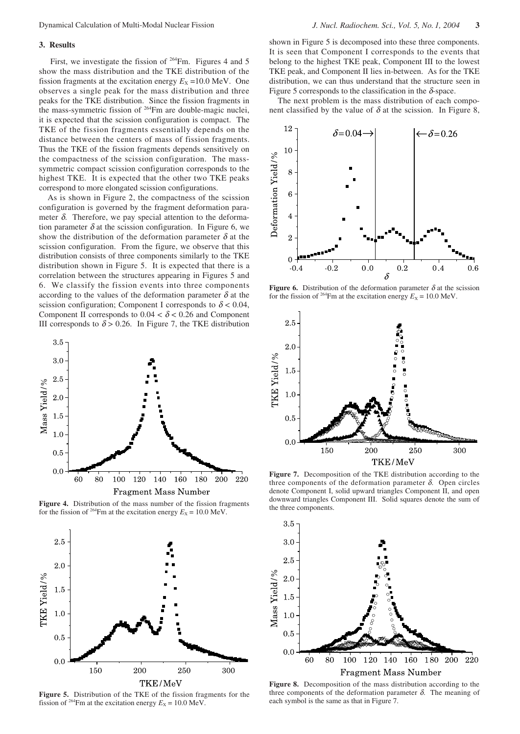#### **3. Results**

First, we investigate the fission of  $264$ Fm. Figures 4 and 5 show the mass distribution and the TKE distribution of the fission fragments at the excitation energy  $E_X = 10.0$  MeV. One observes a single peak for the mass distribution and three peaks for the TKE distribution. Since the fission fragments in the mass-symmetric fission of 264Fm are double-magic nuclei, it is expected that the scission configuration is compact. The TKE of the fission fragments essentially depends on the distance between the centers of mass of fission fragments. Thus the TKE of the fission fragments depends sensitively on the compactness of the scission configuration. The masssymmetric compact scission configuration corresponds to the highest TKE. It is expected that the other two TKE peaks correspond to more elongated scission configurations.

As is shown in Figure 2, the compactness of the scission configuration is governed by the fragment deformation parameter  $\delta$ . Therefore, we pay special attention to the deformation parameter  $\delta$  at the scission configuration. In Figure 6, we show the distribution of the deformation parameter  $\delta$  at the scission configuration. From the figure, we observe that this distribution consists of three components similarly to the TKE distribution shown in Figure 5. It is expected that there is a correlation between the structures appearing in Figures 5 and 6. We classify the fission events into three components according to the values of the deformation parameter  $\delta$  at the scission configuration; Component I corresponds to  $\delta$  < 0.04, Component II corresponds to  $0.04 < \delta < 0.26$  and Component III corresponds to  $\delta$  > 0.26. In Figure 7, the TKE distribution



**Figure 4.** Distribution of the mass number of the fission fragments for the fission of <sup>264</sup>Fm at the excitation energy  $E_X = 10.0$  MeV.



**Figure 5.** Distribution of the TKE of the fission fragments for the fission of <sup>264</sup>Fm at the excitation energy  $E_X = 10.0$  MeV.

shown in Figure 5 is decomposed into these three components. It is seen that Component I corresponds to the events that belong to the highest TKE peak, Component III to the lowest TKE peak, and Component II lies in-between. As for the TKE distribution, we can thus understand that the structure seen in Figure 5 corresponds to the classification in the  $\delta$ -space.

The next problem is the mass distribution of each component classified by the value of  $\delta$  at the scission. In Figure 8,



**Figure 6.** Distribution of the deformation parameter  $\delta$  at the scission for the fission of <sup>264</sup>Fm at the excitation energy  $E_X = 10.0$  MeV.



**Figure 7.** Decomposition of the TKE distribution according to the three components of the deformation parameter  $δ$ . Open circles denote Component I, solid upward triangles Component II, and open downward triangles Component III. Solid squares denote the sum of the three components.



**Figure 8.** Decomposition of the mass distribution according to the three components of the deformation parameter  $\delta$ . The meaning of each symbol is the same as that in Figure 7.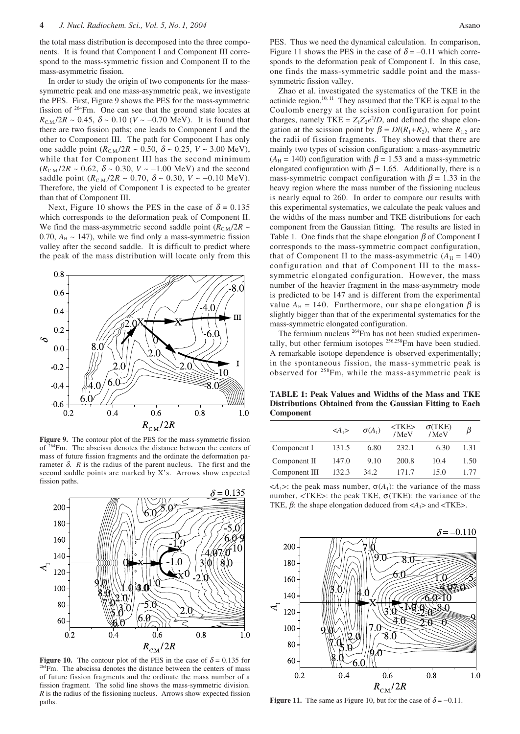the total mass distribution is decomposed into the three components. It is found that Component I and Component III correspond to the mass-symmetric fission and Component II to the mass-asymmetric fission.

In order to study the origin of two components for the masssymmetric peak and one mass-asymmetric peak, we investigate the PES. First, Figure 9 shows the PES for the mass-symmetric fission of <sup>264</sup>Fm. One can see that the ground state locates at  $R_{CM}/2R \sim 0.45$ ,  $\delta \sim 0.10$  (*V* ~ -0.70 MeV). It is found that there are two fission paths; one leads to Component I and the other to Component III. The path for Component I has only one saddle point  $(R_{CM}/2R \sim 0.50, \delta \sim 0.25, V \sim 3.00 \text{ MeV})$ , while that for Component III has the second minimum  $(R_{\text{C.M}}/2R \sim 0.62, \delta \sim 0.30, V \sim -1.00 \text{ MeV})$  and the second saddle point  $(R_{\text{C.M.}}/2R \sim 0.70, \delta \sim 0.30, V \sim -0.10 \text{ MeV}).$ Therefore, the yield of Component I is expected to be greater than that of Component III.

Next, Figure 10 shows the PES in the case of  $\delta = 0.135$ which corresponds to the deformation peak of Component II. We find the mass-asymmetric second saddle point  $(R_{\text{C.M.}}/2R \sim$ 0.70,  $A_H \sim 147$ ), while we find only a mass-symmetric fission valley after the second saddle. It is difficult to predict where the peak of the mass distribution will locate only from this



**Figure 9.** The contour plot of the PES for the mass-symmetric fission of 264Fm. The abscissa denotes the distance between the centers of mass of future fission fragments and the ordinate the deformation parameter  $\delta$ .  $R$  is the radius of the parent nucleus. The first and the second saddle points are marked by X's. Arrows show expected fission paths.



**Figure 10.** The contour plot of the PES in the case of  $\delta = 0.135$  for <sup>264</sup>Fm. The abscissa denotes the distance between the centers of mass of future fission fragments and the ordinate the mass number of a fission fragment. The solid line shows the mass-symmetric division. *R* is the radius of the fissioning nucleus. Arrows show expected fission paths. **Figure 11.** The same as Figure 10, but for the case of  $\delta = -0.11$ .

PES. Thus we need the dynamical calculation. In comparison, Figure 11 shows the PES in the case of  $\delta = -0.11$  which corresponds to the deformation peak of Component I. In this case, one finds the mass-symmetric saddle point and the masssymmetric fission valley.

Zhao et al. investigated the systematics of the TKE in the actinide region. $10, 11$  They assumed that the TKE is equal to the Coulomb energy at the scission configuration for point charges, namely TKE =  $Z_1Z_2e^2/D$ , and defined the shape elongation at the scission point by  $\beta = D/(R_1 + R_2)$ , where  $R_1$ , are the radii of fission fragments. They showed that there are mainly two types of scission configuration: a mass-asymmetric  $(A_H = 140)$  configuration with  $\beta = 1.53$  and a mass-symmetric elongated configuration with  $\beta$  = 1.65. Additionally, there is a mass-symmetric compact configuration with  $\beta = 1.33$  in the heavy region where the mass number of the fissioning nucleus is nearly equal to 260. In order to compare our results with this experimental systematics, we calculate the peak values and the widths of the mass number and TKE distributions for each component from the Gaussian fitting. The results are listed in Table 1. One finds that the shape elongation  $\beta$  of Component I corresponds to the mass-symmetric compact configuration, that of Component II to the mass-asymmetric  $(A_H = 140)$ configuration and that of Component III to the masssymmetric elongated configuration. However, the mass number of the heavier fragment in the mass-asymmetry mode is predicted to be 147 and is different from the experimental value  $A_H = 140$ . Furthermore, our shape elongation  $\beta$  is slightly bigger than that of the experimental systematics for the mass-symmetric elongated configuration.

The fermium nucleus <sup>264</sup>Fm has not been studied experimentally, but other fermium isotopes <sup>256,258</sup>Fm have been studied. A remarkable isotope dependence is observed experimentally; in the spontaneous fission, the mass-symmetric peak is observed for 258Fm, while the mass-asymmetric peak is

**TABLE 1: Peak Values and Widths of the Mass and TKE Distributions Obtained from the Gaussian Fitting to Each Component**

|               | $\langle A_1 \rangle$ | $\sigma(A_1)$ | <tke><br/>/MeV</tke> | $\sigma$ (TKE)<br>/MeV | B    |
|---------------|-----------------------|---------------|----------------------|------------------------|------|
| Component I   | 131.5                 | 6.80          | 232.1                | 6.30                   | 1.31 |
| Component II  | 147.0                 | 9.10          | 200.8                | 10.4                   | 1.50 |
| Component III | 132.3                 | 34.2          | 171.7                | 15.0                   | 1.77 |

 $\langle A_1 \rangle$ : the peak mass number,  $\sigma(A_1)$ : the variance of the mass number,  $\langle TKE \rangle$ : the peak TKE,  $\sigma(TKE)$ : the variance of the TKE,  $\beta$ : the shape elongation deduced from <*A*<sub>1</sub>> and <TKE>.